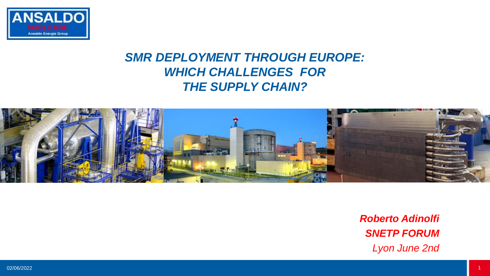

# *SMR DEPLOYMENT THROUGH EUROPE: WHICH CHALLENGES FOR THE SUPPLY CHAIN?*



*Roberto Adinolfi SNETP FORUM Lyon June 2nd*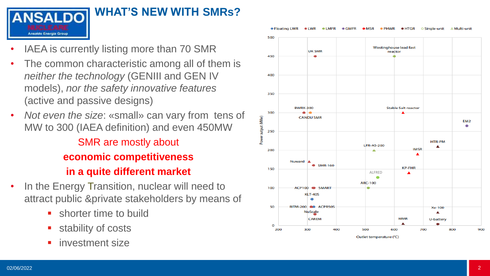

#### **WHAT'S NEW WITH SMRs ?**

- IAEA is currently listing more than 70 SMR
- The common characteristic among all of them is *neither the technology* (GENIII and GEN IV models), *nor the safety innovative features* (active and passive designs)
- *Not even the size*: «small» can vary from tens of MW to 300 (IAEA definition) and even 450MW SMR are mostly about **economic competitiveness in a quite different market**
- In the Energy Transition, nuclear will need to attract public &private stakeholders by means of
	- **E** shorter time to build
	- stability of costs
	- **·** investment size



Outlet temperature (°C)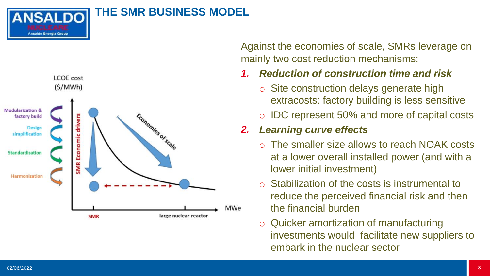**ANSALDO** Ansaldo Energia Group

#### **THE SMR BUSINESS MODEL**



Against the economies of scale, SMRs leverage on mainly two cost reduction mechanisms:

#### *1. Reduction of construction time and risk*

- o Site construction delays generate high extracosts: factory building is less sensitive
- o IDC represent 50% and more of capital costs

# *2. Learning curve effects*

- o The smaller size allows to reach NOAK costs at a lower overall installed power (and with a lower initial investment)
- o Stabilization of the costs is instrumental to reduce the perceived financial risk and then the financial burden
- o Quicker amortization of manufacturing investments would facilitate new suppliers to embark in the nuclear sector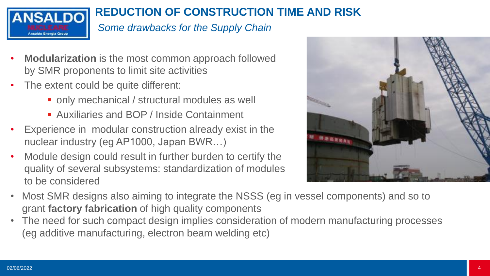

# **REDUCTION OF CONSTRUCTION TIME AND RISK**

#### *Some drawbacks for the Supply Chain*

- **Modularization** is the most common approach followed by SMR proponents to limit site activities
- The extent could be quite different:
	- only mechanical / structural modules as well
	- Auxiliaries and BOP / Inside Containment
- Experience in modular construction already exist in the nuclear industry (eg AP1000, Japan BWR…)
- Module design could result in further burden to certify the quality of several subsystems: standardization of modules to be considered



- Most SMR designs also aiming to integrate the NSSS (eg in vessel components) and so to grant **factory fabrication** of high quality components
- The need for such compact design implies consideration of modern manufacturing processes (eg additive manufacturing, electron beam welding etc)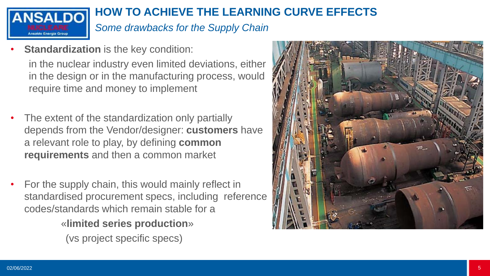

# **HOW TO ACHIEVE THE LEARNING CURVE EFFECTS**

*Some drawbacks for the Supply Chain*

- **Standardization** is the key condition: in the nuclear industry even limited deviations, either in the design or in the manufacturing process, would require time and money to implement
- The extent of the standardization only partially depends from the Vendor/designer: **customers** have a relevant role to play, by defining **common requirements** and then a common market
- For the supply chain, this would mainly reflect in standardised procurement specs, including reference codes/standards which remain stable for a

«**limited series production**»

(vs project specific specs)

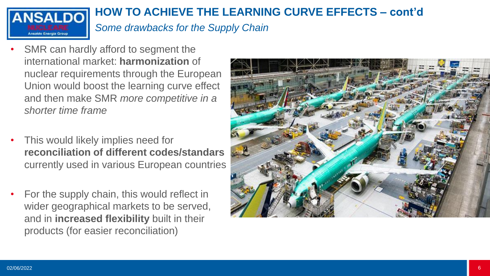

# **HOW TO ACHIEVE THE LEARNING CURVE EFFECTS – cont'd**

*Some drawbacks for the Supply Chain*

- SMR can hardly afford to segment the international market: **harmonization** of nuclear requirements through the European Union would boost the learning curve effect and then make SMR *more competitive in a shorter time frame*
- This would likely implies need for **reconciliation of different codes/standars** currently used in various European countries
- For the supply chain, this would reflect in wider geographical markets to be served, and in **increased flexibility** built in their products (for easier reconciliation)

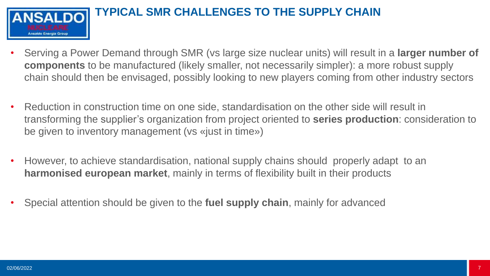

- Serving a Power Demand through SMR (vs large size nuclear units) will result in a **larger number of components** to be manufactured (likely smaller, not necessarily simpler): a more robust supply chain should then be envisaged, possibly looking to new players coming from other industry sectors
- Reduction in construction time on one side, standardisation on the other side will result in transforming the supplier's organization from project oriented to **series production**: consideration to be given to inventory management (vs «just in time»)
- However, to achieve standardisation, national supply chains should properly adapt to an **harmonised european market**, mainly in terms of flexibility built in their products
- Special attention should be given to the **fuel supply chain**, mainly for advanced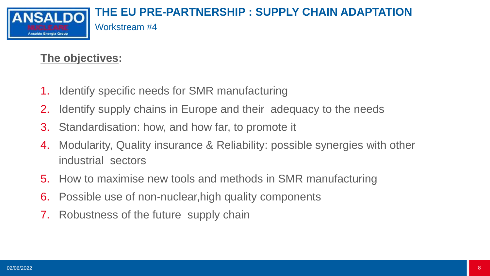

# **The objectives:**

- 1. Identify specific needs for SMR manufacturing
- 2. Identify supply chains in Europe and their adequacy to the needs
- 3. Standardisation: how, and how far, to promote it
- 4. Modularity, Quality insurance & Reliability: possible synergies with other industrial sectors
- 5. How to maximise new tools and methods in SMR manufacturing
- 6. Possible use of non-nuclear,high quality components
- 7. Robustness of the future supply chain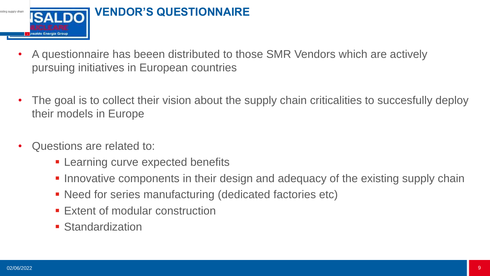

- A questionnaire has beeen distributed to those SMR Vendors which are actively pursuing initiatives in European countries
- The goal is to collect their vision about the supply chain criticalities to succesfully deploy their models in Europe
- Questions are related to:
	- **EXECUTE:** Learning curve expected benefits
	- **Innovative components in their design and adequacy of the existing supply chain**
	- Need for series manufacturing (dedicated factories etc)
	- **Extent of modular construction**
	- **E** Standardization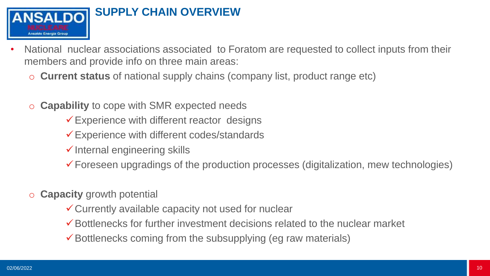

- National nuclear associations associated to Foratom are requested to collect inputs from their members and provide info on three main areas:
	- o **Current status** of national supply chains (company list, product range etc)
	- o **Capability** to cope with SMR expected needs
		- $\checkmark$  Experience with different reactor designs
		- ✓Experience with different codes/standards
		- $\checkmark$  Internal engineering skills
		- ✓Foreseen upgradings of the production processes (digitalization, mew technologies)
	- o **Capacity** growth potential
		- ✓Currently available capacity not used for nuclear
		- ✓Bottlenecks for further investment decisions related to the nuclear market
		- $\checkmark$  Bottlenecks coming from the subsupplying (eg raw materials)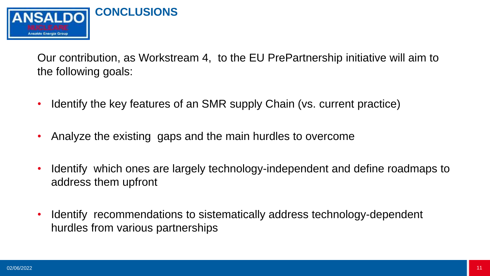

Our contribution, as Workstream 4, to the EU PrePartnership initiative will aim to the following goals:

- Identify the key features of an SMR supply Chain (vs. current practice)
- Analyze the existing gaps and the main hurdles to overcome
- Identify which ones are largely technology-independent and define roadmaps to address them upfront
- Identify recommendations to sistematically address technology-dependent hurdles from various partnerships